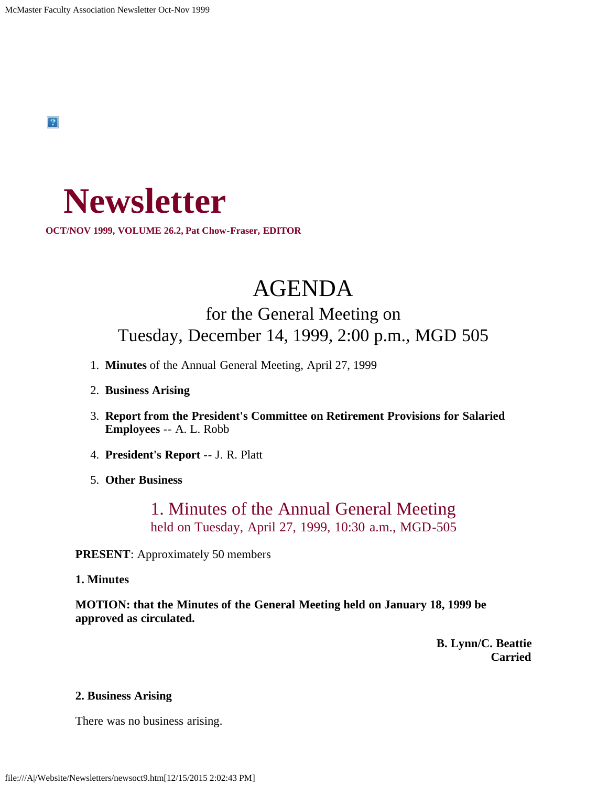$\left|2\right\rangle$ 

# **Newsletter**

**OCT/NOV 1999, VOLUME 26.2, Pat Chow-Fraser, EDITOR**

## AGENDA for the General Meeting on Tuesday, December 14, 1999, 2:00 p.m., MGD 505

- 1. **Minutes** of the Annual General Meeting, April 27, 1999
- 2. **Business Arising**
- 3. **Report from the President's Committee on Retirement Provisions for Salaried Employees** -- A. L. Robb
- 4. **President's Report** -- J. R. Platt
- 5. **Other Business**

## 1. Minutes of the Annual General Meeting held on Tuesday, April 27, 1999, 10:30 a.m., MGD-505

**PRESENT**: Approximately 50 members

#### **1. Minutes**

**MOTION: that the Minutes of the General Meeting held on January 18, 1999 be approved as circulated.**

> **B. Lynn/C. Beattie Carried**

#### **2. Business Arising**

There was no business arising.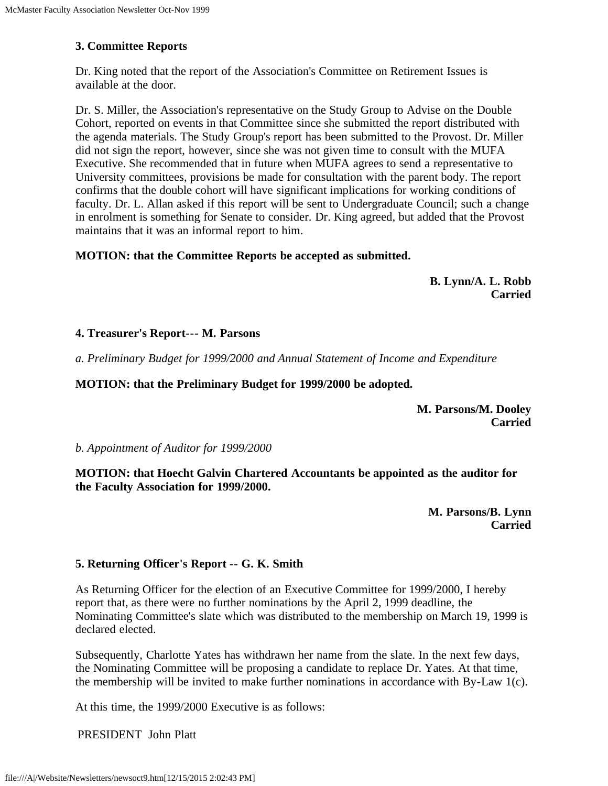### **3. Committee Reports**

Dr. King noted that the report of the Association's Committee on Retirement Issues is available at the door.

Dr. S. Miller, the Association's representative on the Study Group to Advise on the Double Cohort, reported on events in that Committee since she submitted the report distributed with the agenda materials. The Study Group's report has been submitted to the Provost. Dr. Miller did not sign the report, however, since she was not given time to consult with the MUFA Executive. She recommended that in future when MUFA agrees to send a representative to University committees, provisions be made for consultation with the parent body. The report confirms that the double cohort will have significant implications for working conditions of faculty. Dr. L. Allan asked if this report will be sent to Undergraduate Council; such a change in enrolment is something for Senate to consider. Dr. King agreed, but added that the Provost maintains that it was an informal report to him.

#### **MOTION: that the Committee Reports be accepted as submitted.**

**B. Lynn/A. L. Robb Carried**

#### **4. Treasurer's Report--- M. Parsons**

*a. Preliminary Budget for 1999/2000 and Annual Statement of Income and Expenditure*

#### **MOTION: that the Preliminary Budget for 1999/2000 be adopted.**

**M. Parsons/M. Dooley Carried**

*b. Appointment of Auditor for 1999/2000*

**MOTION: that Hoecht Galvin Chartered Accountants be appointed as the auditor for the Faculty Association for 1999/2000.**

> **M. Parsons/B. Lynn Carried**

#### **5. Returning Officer's Report -- G. K. Smith**

As Returning Officer for the election of an Executive Committee for 1999/2000, I hereby report that, as there were no further nominations by the April 2, 1999 deadline, the Nominating Committee's slate which was distributed to the membership on March 19, 1999 is declared elected.

Subsequently, Charlotte Yates has withdrawn her name from the slate. In the next few days, the Nominating Committee will be proposing a candidate to replace Dr. Yates. At that time, the membership will be invited to make further nominations in accordance with By-Law 1(c).

At this time, the 1999/2000 Executive is as follows:

PRESIDENT John Platt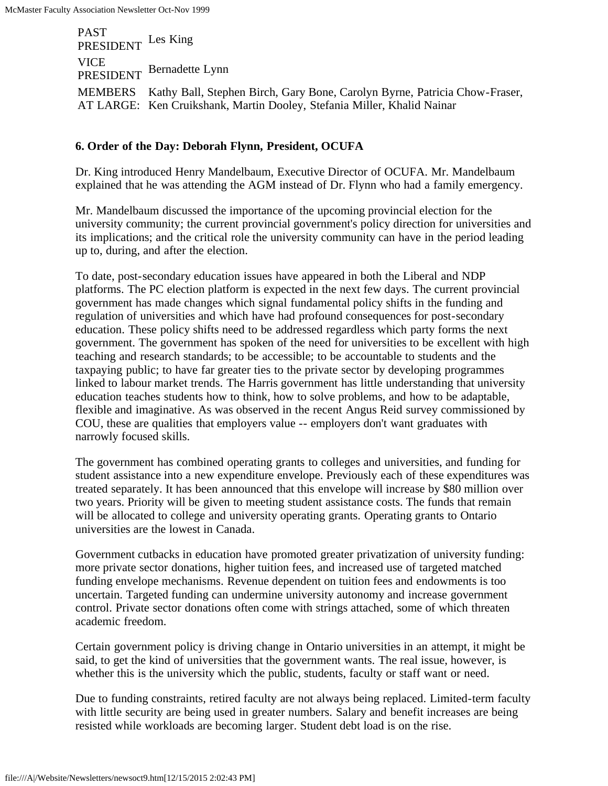PAST PRESIDENT Les King VICE PRESIDENT Bernadette Lynn MEMBERS Kathy Ball, Stephen Birch, Gary Bone, Carolyn Byrne, Patricia Chow-Fraser, AT LARGE: Ken Cruikshank, Martin Dooley, Stefania Miller, Khalid Nainar

#### **6. Order of the Day: Deborah Flynn, President, OCUFA**

Dr. King introduced Henry Mandelbaum, Executive Director of OCUFA. Mr. Mandelbaum explained that he was attending the AGM instead of Dr. Flynn who had a family emergency.

Mr. Mandelbaum discussed the importance of the upcoming provincial election for the university community; the current provincial government's policy direction for universities and its implications; and the critical role the university community can have in the period leading up to, during, and after the election.

To date, post-secondary education issues have appeared in both the Liberal and NDP platforms. The PC election platform is expected in the next few days. The current provincial government has made changes which signal fundamental policy shifts in the funding and regulation of universities and which have had profound consequences for post-secondary education. These policy shifts need to be addressed regardless which party forms the next government. The government has spoken of the need for universities to be excellent with high teaching and research standards; to be accessible; to be accountable to students and the taxpaying public; to have far greater ties to the private sector by developing programmes linked to labour market trends. The Harris government has little understanding that university education teaches students how to think, how to solve problems, and how to be adaptable, flexible and imaginative. As was observed in the recent Angus Reid survey commissioned by COU, these are qualities that employers value -- employers don't want graduates with narrowly focused skills.

The government has combined operating grants to colleges and universities, and funding for student assistance into a new expenditure envelope. Previously each of these expenditures was treated separately. It has been announced that this envelope will increase by \$80 million over two years. Priority will be given to meeting student assistance costs. The funds that remain will be allocated to college and university operating grants. Operating grants to Ontario universities are the lowest in Canada.

Government cutbacks in education have promoted greater privatization of university funding: more private sector donations, higher tuition fees, and increased use of targeted matched funding envelope mechanisms. Revenue dependent on tuition fees and endowments is too uncertain. Targeted funding can undermine university autonomy and increase government control. Private sector donations often come with strings attached, some of which threaten academic freedom.

Certain government policy is driving change in Ontario universities in an attempt, it might be said, to get the kind of universities that the government wants. The real issue, however, is whether this is the university which the public, students, faculty or staff want or need.

Due to funding constraints, retired faculty are not always being replaced. Limited-term faculty with little security are being used in greater numbers. Salary and benefit increases are being resisted while workloads are becoming larger. Student debt load is on the rise.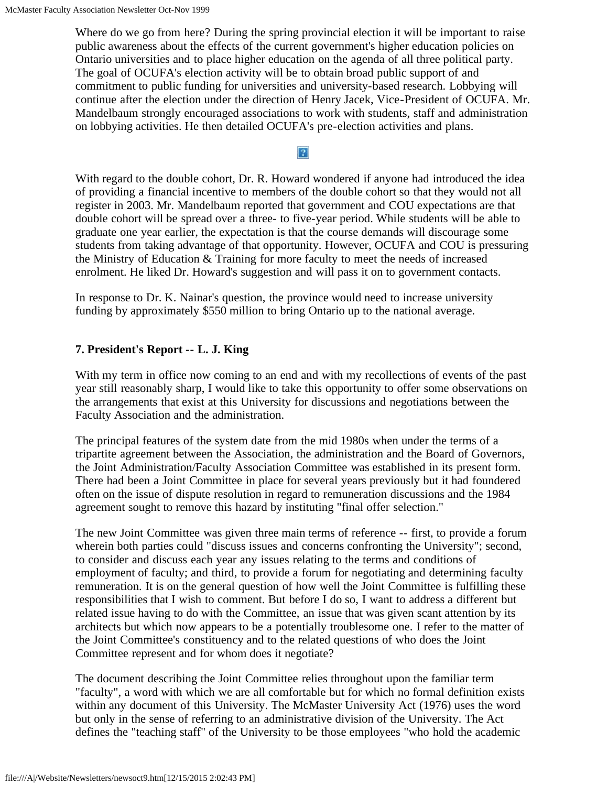Where do we go from here? During the spring provincial election it will be important to raise public awareness about the effects of the current government's higher education policies on Ontario universities and to place higher education on the agenda of all three political party. The goal of OCUFA's election activity will be to obtain broad public support of and commitment to public funding for universities and university-based research. Lobbying will continue after the election under the direction of Henry Jacek, Vice-President of OCUFA. Mr. Mandelbaum strongly encouraged associations to work with students, staff and administration on lobbying activities. He then detailed OCUFA's pre-election activities and plans.

#### With regard to the double cohort, Dr. R. Howard wondered if anyone had introduced the idea of providing a financial incentive to members of the double cohort so that they would not all register in 2003. Mr. Mandelbaum reported that government and COU expectations are that double cohort will be spread over a three- to five-year period. While students will be able to graduate one year earlier, the expectation is that the course demands will discourage some students from taking advantage of that opportunity. However, OCUFA and COU is pressuring the Ministry of Education & Training for more faculty to meet the needs of increased enrolment. He liked Dr. Howard's suggestion and will pass it on to government contacts.

 $|2|$ 

In response to Dr. K. Nainar's question, the province would need to increase university funding by approximately \$550 million to bring Ontario up to the national average.

### **7. President's Report -- L. J. King**

With my term in office now coming to an end and with my recollections of events of the past year still reasonably sharp, I would like to take this opportunity to offer some observations on the arrangements that exist at this University for discussions and negotiations between the Faculty Association and the administration.

The principal features of the system date from the mid 1980s when under the terms of a tripartite agreement between the Association, the administration and the Board of Governors, the Joint Administration/Faculty Association Committee was established in its present form. There had been a Joint Committee in place for several years previously but it had foundered often on the issue of dispute resolution in regard to remuneration discussions and the 1984 agreement sought to remove this hazard by instituting "final offer selection."

The new Joint Committee was given three main terms of reference -- first, to provide a forum wherein both parties could "discuss issues and concerns confronting the University"; second, to consider and discuss each year any issues relating to the terms and conditions of employment of faculty; and third, to provide a forum for negotiating and determining faculty remuneration. It is on the general question of how well the Joint Committee is fulfilling these responsibilities that I wish to comment. But before I do so, I want to address a different but related issue having to do with the Committee, an issue that was given scant attention by its architects but which now appears to be a potentially troublesome one. I refer to the matter of the Joint Committee's constituency and to the related questions of who does the Joint Committee represent and for whom does it negotiate?

The document describing the Joint Committee relies throughout upon the familiar term "faculty", a word with which we are all comfortable but for which no formal definition exists within any document of this University. The McMaster University Act (1976) uses the word but only in the sense of referring to an administrative division of the University. The Act defines the "teaching staff" of the University to be those employees "who hold the academic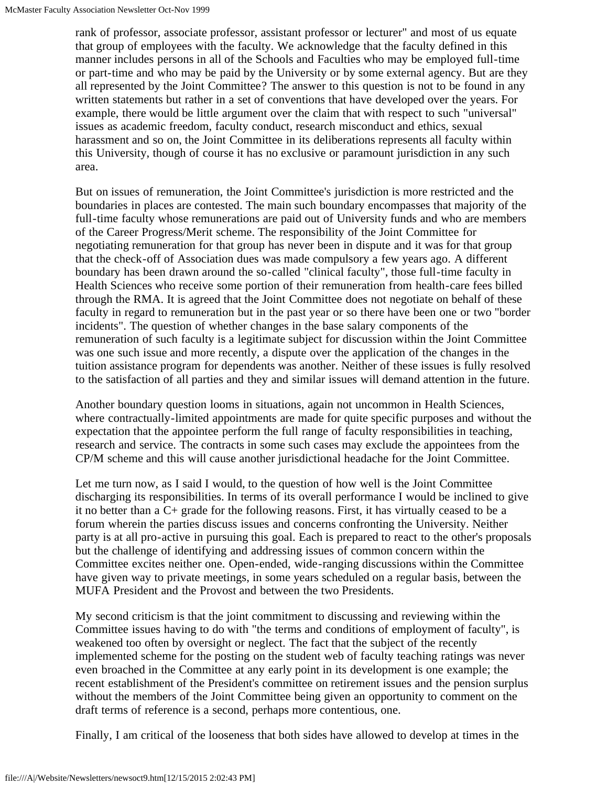rank of professor, associate professor, assistant professor or lecturer" and most of us equate that group of employees with the faculty. We acknowledge that the faculty defined in this manner includes persons in all of the Schools and Faculties who may be employed full-time or part-time and who may be paid by the University or by some external agency. But are they all represented by the Joint Committee? The answer to this question is not to be found in any written statements but rather in a set of conventions that have developed over the years. For example, there would be little argument over the claim that with respect to such "universal" issues as academic freedom, faculty conduct, research misconduct and ethics, sexual harassment and so on, the Joint Committee in its deliberations represents all faculty within this University, though of course it has no exclusive or paramount jurisdiction in any such area.

But on issues of remuneration, the Joint Committee's jurisdiction is more restricted and the boundaries in places are contested. The main such boundary encompasses that majority of the full-time faculty whose remunerations are paid out of University funds and who are members of the Career Progress/Merit scheme. The responsibility of the Joint Committee for negotiating remuneration for that group has never been in dispute and it was for that group that the check-off of Association dues was made compulsory a few years ago. A different boundary has been drawn around the so-called "clinical faculty", those full-time faculty in Health Sciences who receive some portion of their remuneration from health-care fees billed through the RMA. It is agreed that the Joint Committee does not negotiate on behalf of these faculty in regard to remuneration but in the past year or so there have been one or two "border incidents". The question of whether changes in the base salary components of the remuneration of such faculty is a legitimate subject for discussion within the Joint Committee was one such issue and more recently, a dispute over the application of the changes in the tuition assistance program for dependents was another. Neither of these issues is fully resolved to the satisfaction of all parties and they and similar issues will demand attention in the future.

Another boundary question looms in situations, again not uncommon in Health Sciences, where contractually-limited appointments are made for quite specific purposes and without the expectation that the appointee perform the full range of faculty responsibilities in teaching, research and service. The contracts in some such cases may exclude the appointees from the CP/M scheme and this will cause another jurisdictional headache for the Joint Committee.

Let me turn now, as I said I would, to the question of how well is the Joint Committee discharging its responsibilities. In terms of its overall performance I would be inclined to give it no better than a C+ grade for the following reasons. First, it has virtually ceased to be a forum wherein the parties discuss issues and concerns confronting the University. Neither party is at all pro-active in pursuing this goal. Each is prepared to react to the other's proposals but the challenge of identifying and addressing issues of common concern within the Committee excites neither one. Open-ended, wide-ranging discussions within the Committee have given way to private meetings, in some years scheduled on a regular basis, between the MUFA President and the Provost and between the two Presidents.

My second criticism is that the joint commitment to discussing and reviewing within the Committee issues having to do with "the terms and conditions of employment of faculty", is weakened too often by oversight or neglect. The fact that the subject of the recently implemented scheme for the posting on the student web of faculty teaching ratings was never even broached in the Committee at any early point in its development is one example; the recent establishment of the President's committee on retirement issues and the pension surplus without the members of the Joint Committee being given an opportunity to comment on the draft terms of reference is a second, perhaps more contentious, one.

Finally, I am critical of the looseness that both sides have allowed to develop at times in the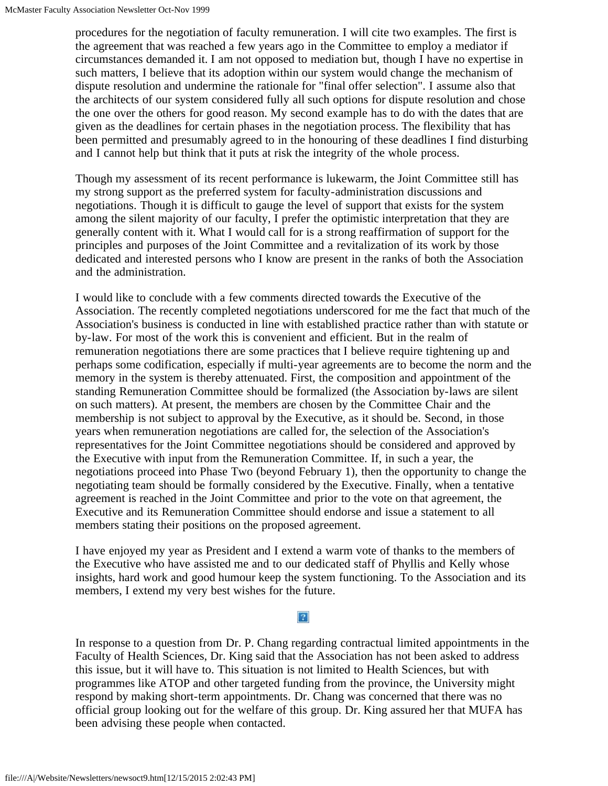procedures for the negotiation of faculty remuneration. I will cite two examples. The first is the agreement that was reached a few years ago in the Committee to employ a mediator if circumstances demanded it. I am not opposed to mediation but, though I have no expertise in such matters, I believe that its adoption within our system would change the mechanism of dispute resolution and undermine the rationale for "final offer selection". I assume also that the architects of our system considered fully all such options for dispute resolution and chose the one over the others for good reason. My second example has to do with the dates that are given as the deadlines for certain phases in the negotiation process. The flexibility that has been permitted and presumably agreed to in the honouring of these deadlines I find disturbing and I cannot help but think that it puts at risk the integrity of the whole process.

Though my assessment of its recent performance is lukewarm, the Joint Committee still has my strong support as the preferred system for faculty-administration discussions and negotiations. Though it is difficult to gauge the level of support that exists for the system among the silent majority of our faculty, I prefer the optimistic interpretation that they are generally content with it. What I would call for is a strong reaffirmation of support for the principles and purposes of the Joint Committee and a revitalization of its work by those dedicated and interested persons who I know are present in the ranks of both the Association and the administration.

I would like to conclude with a few comments directed towards the Executive of the Association. The recently completed negotiations underscored for me the fact that much of the Association's business is conducted in line with established practice rather than with statute or by-law. For most of the work this is convenient and efficient. But in the realm of remuneration negotiations there are some practices that I believe require tightening up and perhaps some codification, especially if multi-year agreements are to become the norm and the memory in the system is thereby attenuated. First, the composition and appointment of the standing Remuneration Committee should be formalized (the Association by-laws are silent on such matters). At present, the members are chosen by the Committee Chair and the membership is not subject to approval by the Executive, as it should be. Second, in those years when remuneration negotiations are called for, the selection of the Association's representatives for the Joint Committee negotiations should be considered and approved by the Executive with input from the Remuneration Committee. If, in such a year, the negotiations proceed into Phase Two (beyond February 1), then the opportunity to change the negotiating team should be formally considered by the Executive. Finally, when a tentative agreement is reached in the Joint Committee and prior to the vote on that agreement, the Executive and its Remuneration Committee should endorse and issue a statement to all members stating their positions on the proposed agreement.

I have enjoyed my year as President and I extend a warm vote of thanks to the members of the Executive who have assisted me and to our dedicated staff of Phyllis and Kelly whose insights, hard work and good humour keep the system functioning. To the Association and its members, I extend my very best wishes for the future.

#### $\overline{?}$

In response to a question from Dr. P. Chang regarding contractual limited appointments in the Faculty of Health Sciences, Dr. King said that the Association has not been asked to address this issue, but it will have to. This situation is not limited to Health Sciences, but with programmes like ATOP and other targeted funding from the province, the University might respond by making short-term appointments. Dr. Chang was concerned that there was no official group looking out for the welfare of this group. Dr. King assured her that MUFA has been advising these people when contacted.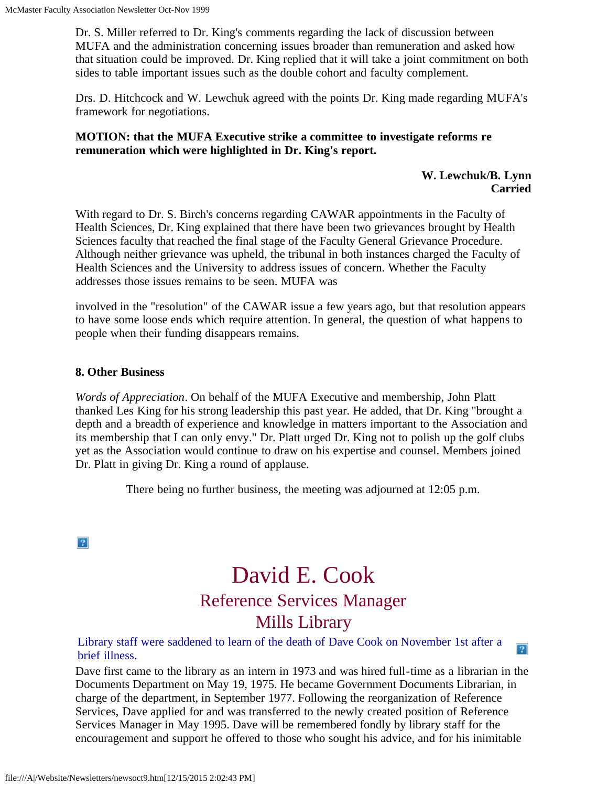Dr. S. Miller referred to Dr. King's comments regarding the lack of discussion between MUFA and the administration concerning issues broader than remuneration and asked how that situation could be improved. Dr. King replied that it will take a joint commitment on both sides to table important issues such as the double cohort and faculty complement.

Drs. D. Hitchcock and W. Lewchuk agreed with the points Dr. King made regarding MUFA's framework for negotiations.

#### **MOTION: that the MUFA Executive strike a committee to investigate reforms re remuneration which were highlighted in Dr. King's report.**

#### **W. Lewchuk/B. Lynn Carried**

 $|2|$ 

With regard to Dr. S. Birch's concerns regarding CAWAR appointments in the Faculty of Health Sciences, Dr. King explained that there have been two grievances brought by Health Sciences faculty that reached the final stage of the Faculty General Grievance Procedure. Although neither grievance was upheld, the tribunal in both instances charged the Faculty of Health Sciences and the University to address issues of concern. Whether the Faculty addresses those issues remains to be seen. MUFA was

involved in the "resolution" of the CAWAR issue a few years ago, but that resolution appears to have some loose ends which require attention. In general, the question of what happens to people when their funding disappears remains.

#### **8. Other Business**

*Words of Appreciation*. On behalf of the MUFA Executive and membership, John Platt thanked Les King for his strong leadership this past year. He added, that Dr. King "brought a depth and a breadth of experience and knowledge in matters important to the Association and its membership that I can only envy." Dr. Platt urged Dr. King not to polish up the golf clubs yet as the Association would continue to draw on his expertise and counsel. Members joined Dr. Platt in giving Dr. King a round of applause.

There being no further business, the meeting was adjourned at 12:05 p.m.

 $|2\rangle$ 

## David E. Cook Reference Services Manager Mills Library

#### Library staff were saddened to learn of the death of Dave Cook on November 1st after a brief illness.

Dave first came to the library as an intern in 1973 and was hired full-time as a librarian in the Documents Department on May 19, 1975. He became Government Documents Librarian, in charge of the department, in September 1977. Following the reorganization of Reference Services, Dave applied for and was transferred to the newly created position of Reference Services Manager in May 1995. Dave will be remembered fondly by library staff for the encouragement and support he offered to those who sought his advice, and for his inimitable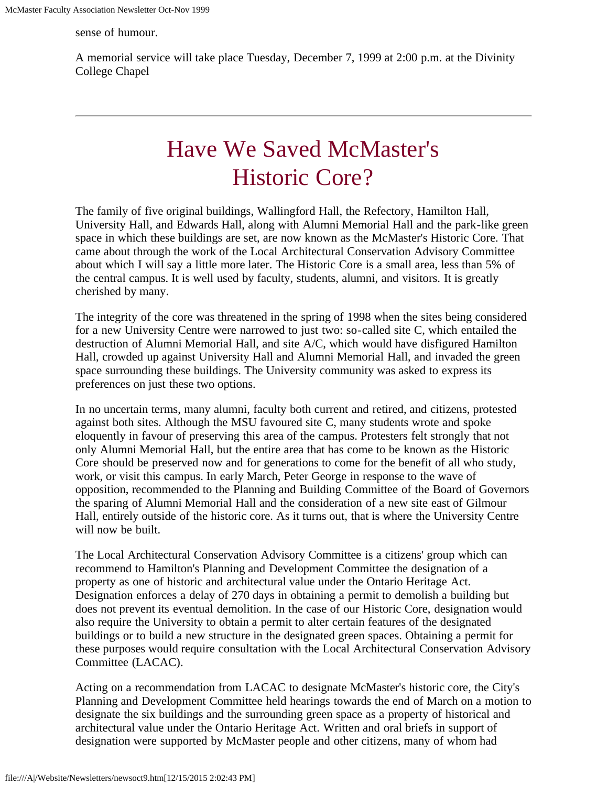sense of humour.

A memorial service will take place Tuesday, December 7, 1999 at 2:00 p.m. at the Divinity College Chapel

## Have We Saved McMaster's Historic Core?

The family of five original buildings, Wallingford Hall, the Refectory, Hamilton Hall, University Hall, and Edwards Hall, along with Alumni Memorial Hall and the park-like green space in which these buildings are set, are now known as the McMaster's Historic Core. That came about through the work of the Local Architectural Conservation Advisory Committee about which I will say a little more later. The Historic Core is a small area, less than 5% of the central campus. It is well used by faculty, students, alumni, and visitors. It is greatly cherished by many.

The integrity of the core was threatened in the spring of 1998 when the sites being considered for a new University Centre were narrowed to just two: so-called site C, which entailed the destruction of Alumni Memorial Hall, and site A/C, which would have disfigured Hamilton Hall, crowded up against University Hall and Alumni Memorial Hall, and invaded the green space surrounding these buildings. The University community was asked to express its preferences on just these two options.

In no uncertain terms, many alumni, faculty both current and retired, and citizens, protested against both sites. Although the MSU favoured site C, many students wrote and spoke eloquently in favour of preserving this area of the campus. Protesters felt strongly that not only Alumni Memorial Hall, but the entire area that has come to be known as the Historic Core should be preserved now and for generations to come for the benefit of all who study, work, or visit this campus. In early March, Peter George in response to the wave of opposition, recommended to the Planning and Building Committee of the Board of Governors the sparing of Alumni Memorial Hall and the consideration of a new site east of Gilmour Hall, entirely outside of the historic core. As it turns out, that is where the University Centre will now be built.

The Local Architectural Conservation Advisory Committee is a citizens' group which can recommend to Hamilton's Planning and Development Committee the designation of a property as one of historic and architectural value under the Ontario Heritage Act. Designation enforces a delay of 270 days in obtaining a permit to demolish a building but does not prevent its eventual demolition. In the case of our Historic Core, designation would also require the University to obtain a permit to alter certain features of the designated buildings or to build a new structure in the designated green spaces. Obtaining a permit for these purposes would require consultation with the Local Architectural Conservation Advisory Committee (LACAC).

Acting on a recommendation from LACAC to designate McMaster's historic core, the City's Planning and Development Committee held hearings towards the end of March on a motion to designate the six buildings and the surrounding green space as a property of historical and architectural value under the Ontario Heritage Act. Written and oral briefs in support of designation were supported by McMaster people and other citizens, many of whom had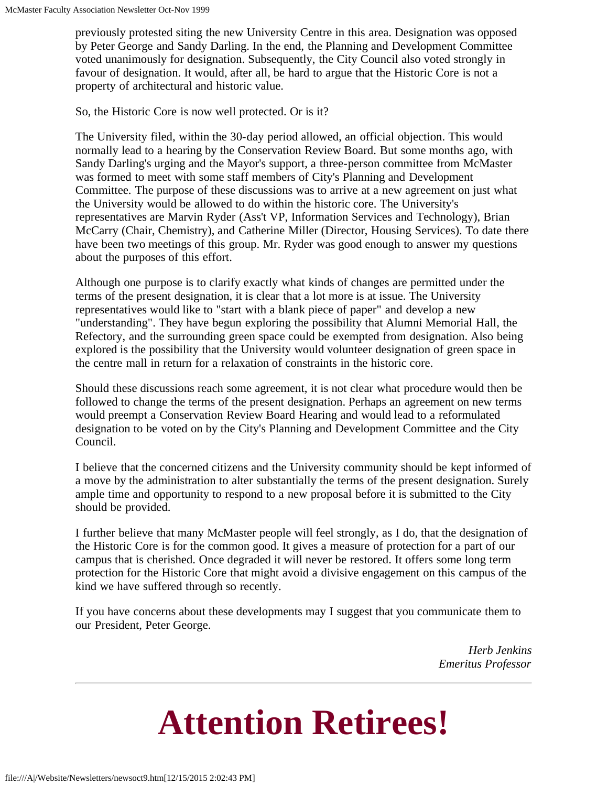previously protested siting the new University Centre in this area. Designation was opposed by Peter George and Sandy Darling. In the end, the Planning and Development Committee voted unanimously for designation. Subsequently, the City Council also voted strongly in favour of designation. It would, after all, be hard to argue that the Historic Core is not a property of architectural and historic value.

So, the Historic Core is now well protected. Or is it?

The University filed, within the 30-day period allowed, an official objection. This would normally lead to a hearing by the Conservation Review Board. But some months ago, with Sandy Darling's urging and the Mayor's support, a three-person committee from McMaster was formed to meet with some staff members of City's Planning and Development Committee. The purpose of these discussions was to arrive at a new agreement on just what the University would be allowed to do within the historic core. The University's representatives are Marvin Ryder (Ass't VP, Information Services and Technology), Brian McCarry (Chair, Chemistry), and Catherine Miller (Director, Housing Services). To date there have been two meetings of this group. Mr. Ryder was good enough to answer my questions about the purposes of this effort.

Although one purpose is to clarify exactly what kinds of changes are permitted under the terms of the present designation, it is clear that a lot more is at issue. The University representatives would like to "start with a blank piece of paper" and develop a new "understanding". They have begun exploring the possibility that Alumni Memorial Hall, the Refectory, and the surrounding green space could be exempted from designation. Also being explored is the possibility that the University would volunteer designation of green space in the centre mall in return for a relaxation of constraints in the historic core.

Should these discussions reach some agreement, it is not clear what procedure would then be followed to change the terms of the present designation. Perhaps an agreement on new terms would preempt a Conservation Review Board Hearing and would lead to a reformulated designation to be voted on by the City's Planning and Development Committee and the City Council.

I believe that the concerned citizens and the University community should be kept informed of a move by the administration to alter substantially the terms of the present designation. Surely ample time and opportunity to respond to a new proposal before it is submitted to the City should be provided.

I further believe that many McMaster people will feel strongly, as I do, that the designation of the Historic Core is for the common good. It gives a measure of protection for a part of our campus that is cherished. Once degraded it will never be restored. It offers some long term protection for the Historic Core that might avoid a divisive engagement on this campus of the kind we have suffered through so recently.

If you have concerns about these developments may I suggest that you communicate them to our President, Peter George.

> *Herb Jenkins Emeritus Professor*

# **Attention Retirees!**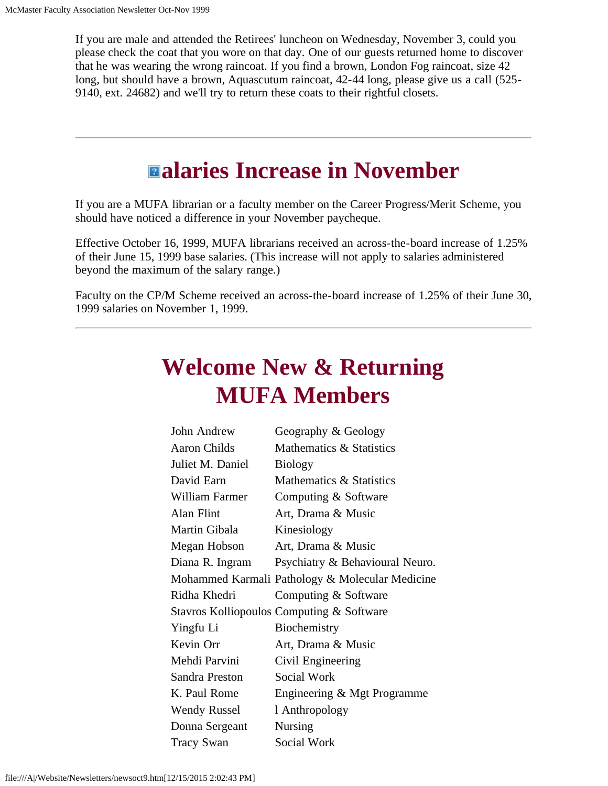If you are male and attended the Retirees' luncheon on Wednesday, November 3, could you please check the coat that you wore on that day. One of our guests returned home to discover that he was wearing the wrong raincoat. If you find a brown, London Fog raincoat, size 42 long, but should have a brown, Aquascutum raincoat, 42-44 long, please give us a call (525-9140, ext. 24682) and we'll try to return these coats to their rightful closets.

## **alaries Increase in November**

If you are a MUFA librarian or a faculty member on the Career Progress/Merit Scheme, you should have noticed a difference in your November paycheque.

Effective October 16, 1999, MUFA librarians received an across-the-board increase of 1.25% of their June 15, 1999 base salaries. (This increase will not apply to salaries administered beyond the maximum of the salary range.)

Faculty on the CP/M Scheme received an across-the-board increase of 1.25% of their June 30, 1999 salaries on November 1, 1999.

# **Welcome New & Returning MUFA Members**

| John Andrew         | Geography & Geology                             |
|---------------------|-------------------------------------------------|
| <b>Aaron Childs</b> | Mathematics & Statistics                        |
| Juliet M. Daniel    | <b>Biology</b>                                  |
| David Earn          | Mathematics & Statistics                        |
| William Farmer      | Computing & Software                            |
| Alan Flint          | Art, Drama & Music                              |
| Martin Gibala       | Kinesiology                                     |
| Megan Hobson        | Art, Drama & Music                              |
| Diana R. Ingram     | Psychiatry & Behavioural Neuro.                 |
|                     | Mohammed Karmali Pathology & Molecular Medicine |
| Ridha Khedri        | Computing & Software                            |
|                     | Stavros Kolliopoulos Computing & Software       |
| Yingfu Li           | Biochemistry                                    |
| Kevin Orr           | Art, Drama & Music                              |
| Mehdi Parvini       | Civil Engineering                               |
| Sandra Preston      | Social Work                                     |
| K. Paul Rome        | Engineering & Mgt Programme                     |
| <b>Wendy Russel</b> | l Anthropology                                  |
| Donna Sergeant      | Nursing                                         |
| <b>Tracy Swan</b>   | Social Work                                     |
|                     |                                                 |